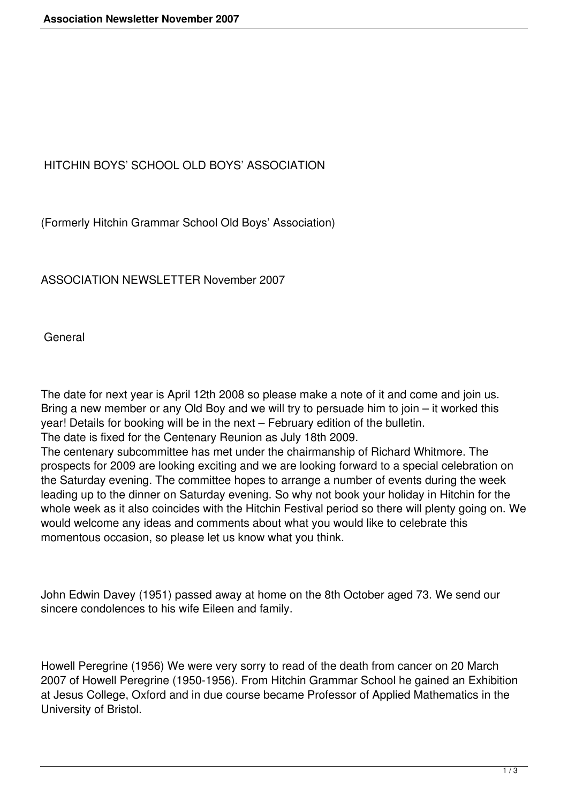## HITCHIN BOYS' SCHOOL OLD BOYS' ASSOCIATION

(Formerly Hitchin Grammar School Old Boys' Association)

ASSOCIATION NEWSLETTER November 2007

**General** 

The date for next year is April 12th 2008 so please make a note of it and come and join us. Bring a new member or any Old Boy and we will try to persuade him to join – it worked this year! Details for booking will be in the next – February edition of the bulletin.

The date is fixed for the Centenary Reunion as July 18th 2009.

The centenary subcommittee has met under the chairmanship of Richard Whitmore. The prospects for 2009 are looking exciting and we are looking forward to a special celebration on the Saturday evening. The committee hopes to arrange a number of events during the week leading up to the dinner on Saturday evening. So why not book your holiday in Hitchin for the whole week as it also coincides with the Hitchin Festival period so there will plenty going on. We would welcome any ideas and comments about what you would like to celebrate this momentous occasion, so please let us know what you think.

John Edwin Davey (1951) passed away at home on the 8th October aged 73. We send our sincere condolences to his wife Eileen and family.

Howell Peregrine (1956) We were very sorry to read of the death from cancer on 20 March 2007 of Howell Peregrine (1950-1956). From Hitchin Grammar School he gained an Exhibition at Jesus College, Oxford and in due course became Professor of Applied Mathematics in the University of Bristol.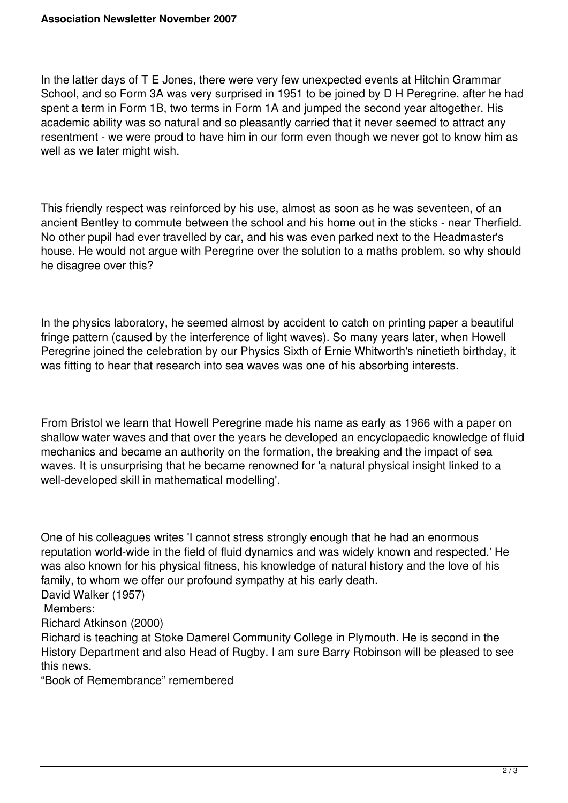In the latter days of T E Jones, there were very few unexpected events at Hitchin Grammar School, and so Form 3A was very surprised in 1951 to be joined by D H Peregrine, after he had spent a term in Form 1B, two terms in Form 1A and jumped the second year altogether. His academic ability was so natural and so pleasantly carried that it never seemed to attract any resentment - we were proud to have him in our form even though we never got to know him as well as we later might wish.

This friendly respect was reinforced by his use, almost as soon as he was seventeen, of an ancient Bentley to commute between the school and his home out in the sticks - near Therfield. No other pupil had ever travelled by car, and his was even parked next to the Headmaster's house. He would not argue with Peregrine over the solution to a maths problem, so why should he disagree over this?

In the physics laboratory, he seemed almost by accident to catch on printing paper a beautiful fringe pattern (caused by the interference of light waves). So many years later, when Howell Peregrine joined the celebration by our Physics Sixth of Ernie Whitworth's ninetieth birthday, it was fitting to hear that research into sea waves was one of his absorbing interests.

From Bristol we learn that Howell Peregrine made his name as early as 1966 with a paper on shallow water waves and that over the years he developed an encyclopaedic knowledge of fluid mechanics and became an authority on the formation, the breaking and the impact of sea waves. It is unsurprising that he became renowned for 'a natural physical insight linked to a well-developed skill in mathematical modelling'.

One of his colleagues writes 'I cannot stress strongly enough that he had an enormous reputation world-wide in the field of fluid dynamics and was widely known and respected.' He was also known for his physical fitness, his knowledge of natural history and the love of his family, to whom we offer our profound sympathy at his early death.

David Walker (1957)

## Members:

Richard Atkinson (2000)

Richard is teaching at Stoke Damerel Community College in Plymouth. He is second in the History Department and also Head of Rugby. I am sure Barry Robinson will be pleased to see this news.

"Book of Remembrance" remembered